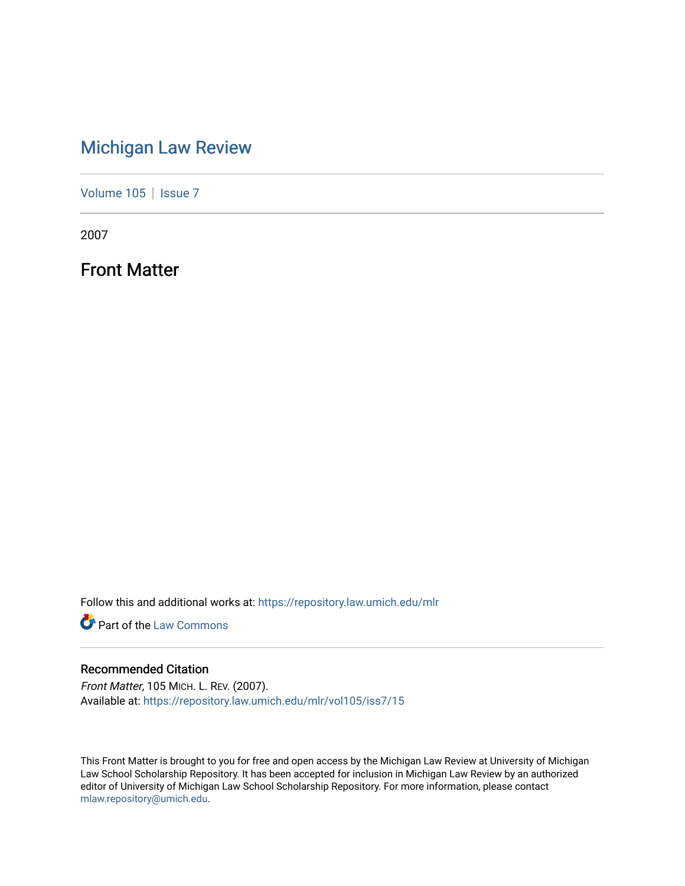## [Michigan Law Review](https://repository.law.umich.edu/mlr)

[Volume 105](https://repository.law.umich.edu/mlr/vol105) | [Issue 7](https://repository.law.umich.edu/mlr/vol105/iss7)

2007

Front Matter

Follow this and additional works at: [https://repository.law.umich.edu/mlr](https://repository.law.umich.edu/mlr?utm_source=repository.law.umich.edu%2Fmlr%2Fvol105%2Fiss7%2F15&utm_medium=PDF&utm_campaign=PDFCoverPages) 

**Part of the [Law Commons](http://network.bepress.com/hgg/discipline/578?utm_source=repository.law.umich.edu%2Fmlr%2Fvol105%2Fiss7%2F15&utm_medium=PDF&utm_campaign=PDFCoverPages)** 

#### Recommended Citation

Front Matter, 105 MICH. L. REV. (2007). Available at: [https://repository.law.umich.edu/mlr/vol105/iss7/15](https://repository.law.umich.edu/mlr/vol105/iss7/15?utm_source=repository.law.umich.edu%2Fmlr%2Fvol105%2Fiss7%2F15&utm_medium=PDF&utm_campaign=PDFCoverPages) 

This Front Matter is brought to you for free and open access by the Michigan Law Review at University of Michigan Law School Scholarship Repository. It has been accepted for inclusion in Michigan Law Review by an authorized editor of University of Michigan Law School Scholarship Repository. For more information, please contact [mlaw.repository@umich.edu.](mailto:mlaw.repository@umich.edu)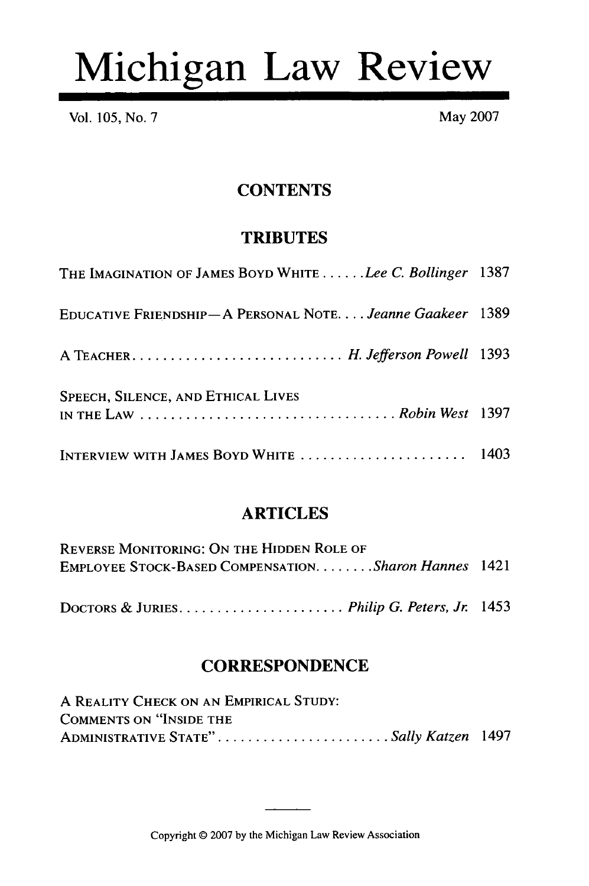# Michigan Law Review

Vol. 105, No. 7 May 2007

#### **CONTENTS**

#### **TRIBUTES**

| THE IMAGINATION OF JAMES BOYD WHITE Lee C. Bollinger 1387                                                                                  |  |
|--------------------------------------------------------------------------------------------------------------------------------------------|--|
| EDUCATIVE FRIENDSHIP-A PERSONAL NOTE. Jeanne Gaakeer 1389                                                                                  |  |
|                                                                                                                                            |  |
| SPEECH, SILENCE, AND ETHICAL LIVES<br>IN THE LAW $\ldots \ldots \ldots \ldots \ldots \ldots \ldots \ldots \ldots \ldots$ . Robin West 1397 |  |
| INTERVIEW WITH JAMES BOYD WHITE  1403                                                                                                      |  |

#### ARTICLES

| <b>REVERSE MONITORING: ON THE HIDDEN ROLE OF</b>      |  |
|-------------------------------------------------------|--|
| EMPLOYEE STOCK-BASED COMPENSATION. Sharon Hannes 1421 |  |
|                                                       |  |
|                                                       |  |

#### **CORRESPONDENCE**

| A REALITY CHECK ON AN EMPIRICAL STUDY: |  |
|----------------------------------------|--|
| COMMENTS ON "INSIDE THE                |  |
| ADMINISTRATIVE STATE"Sally Katzen 1497 |  |